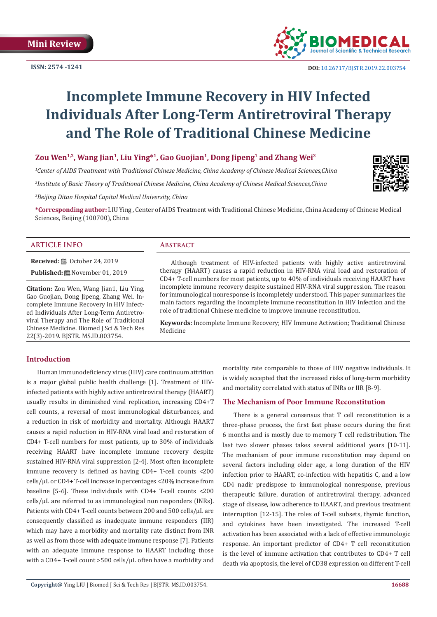**ISSN: 2574 -1241**



 **DOI:** [10.26717/BJSTR.2019.22.0037](http://dx.doi.org/10.26717/BJSTR.2019.22.003754)54

# **Incomplete Immune Recovery in HIV Infected Individuals After Long-Term Antiretroviral Therapy and The Role of Traditional Chinese Medicine**

# **Zou Wen1,2, Wang Jian1, Liu Ying\*1, Gao Guojian1, Dong Jipeng1 and Zhang Wei3**

*1 Center of AIDS Treatment with Traditional Chinese Medicine, China Academy of Chinese Medical Sciences,China*

*2 Institute of Basic Theory of Traditional Chinese Medicine, China Academy of Chinese Medical Sciences,China*

*3 Beijing Ditan Hospital Capital Medical University, China*

**\*Corresponding author:** LIU Ying , Center of AIDS Treatment with Traditional Chinese Medicine, China Academy of Chinese Medical Sciences, Beijing (100700), China

# **ARTICLE INFO Abstract**

**Received:** ■ October 24, 2019

**Published:** November 01, 2019

**Citation:** Zou Wen, Wang Jian1, Liu Ying, Gao Guojian, Dong Jipeng, Zhang Wei. Incomplete Immune Recovery in HIV Infected Individuals After Long-Term Antiretroviral Therapy and The Role of Traditional Chinese Medicine. Biomed J Sci & Tech Res 22(3)-2019. BJSTR. MS.ID.003754.

Although treatment of HIV-infected patients with highly active antiretroviral therapy (HAART) causes a rapid reduction in HIV-RNA viral load and restoration of CD4+ T-cell numbers for most patients, up to 40% of individuals receiving HAART have incomplete immune recovery despite sustained HIV-RNA viral suppression. The reason for immunological nonresponse is incompletely understood. This paper summarizes the main factors regarding the incomplete immune reconstitution in HIV infection and the role of traditional Chinese medicine to improve immune reconstitution.

**Keywords:** Incomplete Immune Recovery; HIV Immune Activation; Traditional Chinese Medicine

# **Introduction**

Human immunodeficiency virus (HIV) care continuum attrition is a major global public health challenge [1]. Treatment of HIVinfected patients with highly active antiretroviral therapy (HAART) usually results in diminished viral replication, increasing CD4+T cell counts, a reversal of most immunological disturbances, and a reduction in risk of morbidity and mortality. Although HAART causes a rapid reduction in HIV-RNA viral load and restoration of CD4+ T-cell numbers for most patients, up to 30% of individuals receiving HAART have incomplete immune recovery despite sustained HIV-RNA viral suppression [2-4]. Most often incomplete immune recovery is defined as having CD4+ T-cell counts <200 cells/μL or CD4+ T-cell increase in percentages <20% increase from baseline [5-6]. These individuals with CD4+ T-cell counts <200 cells/μL are referred to as immunological non responders (INRs). Patients with CD4+ T-cell counts between 200 and 500 cells/μL are consequently classified as inadequate immune responders (IIR) which may have a morbidity and mortality rate distinct from INR as well as from those with adequate immune response [7]. Patients with an adequate immune response to HAART including those with a CD4+ T-cell count >500 cells/μL often have a morbidity and

mortality rate comparable to those of HIV negative individuals. It is widely accepted that the increased risks of long-term morbidity and mortality correlated with status of INRs or IIR [8-9].

# **The Mechanism of Poor Immune Reconstitution**

There is a general consensus that T cell reconstitution is a three-phase process, the first fast phase occurs during the first 6 months and is mostly due to memory T cell redistribution. The last two slower phases takes several additional years [10-11]. The mechanism of poor immune reconstitution may depend on several factors including older age, a long duration of the HIV infection prior to HAART, co-infection with hepatitis C, and a low CD4 nadir predispose to immunological nonresponse, previous therapeutic failure, duration of antiretroviral therapy, advanced stage of disease, low adherence to HAART, and previous treatment interruption [12-15]. The roles of T-cell subsets, thymic function, and cytokines have been investigated. The increased T-cell activation has been associated with a lack of effective immunologic response. An important predictor of CD4+ T cell reconstitution is the level of immune activation that contributes to CD4+ T cell death via apoptosis, the level of CD38 expression on different T-cell

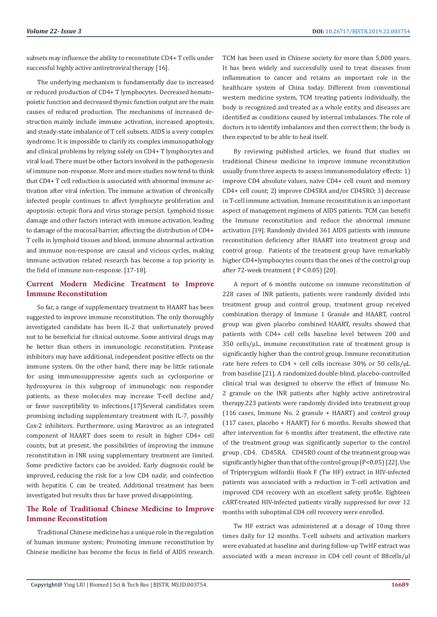subsets may influence the ability to reconstitute CD4+ T cells under successful highly active antiretroviral therapy [16].

The underlying mechanism is fundamentally due to increased or reduced production of CD4+ T lymphocytes. Decreased hematopoietic function and decreased thymic function output are the main causes of reduced production. The mechanisms of increased destruction mainly include immune activation, increased apoptosis, and steady-state imbalance of T cell subsets. AIDS is a very complex syndrome. It is impossible to clarify its complex immunopathology and clinical problems by relying solely on CD4+ T lymphocytes and viral load. There must be other factors involved in the pathogenesis of immune non-response. More and more studies now tend to think that CD4+ T cell reduction is associated with abnormal immune activation after viral infection. The immune activation of chronically infected people continues to affect lymphocyte proliferation and apoptosis: ectopic flora and virus storage persist. Lymphoid tissue damage and other factors interact with immune activation, leading to damage of the mucosal barrier, affecting the distribution of CD4+ T cells in lymphoid tissues and blood, immune abnormal activation and immune non-response are causal and vicious cycles, making immune activation related research has become a top priority in the field of immune non-response. [17-18].

# **Current Modern Medicine Treatment to Improve Immune Reconstitution**

So far, a range of supplementary treatment to HAART has been suggested to improve immune reconstitution. The only thoroughly investigated candidate has been IL-2 that unfortunately proved not to be beneficial for clinical outcome. Some antiviral drugs may be better than others in immunologic reconstitution. Protease inhibitors may have additional, independent positive effects on the immune system. On the other hand, there may be little rationale for using immunosuppressive agents such as cyclosporine or hydroxyurea in this subgroup of immunologic non responder patients, as these molecules may increase T-cell decline and/ or favor susceptibility to infections.[17]Several candidates seem promising including supplementary treatment with IL-7, possibly Cox-2 inhibitors. Furthermore, using Maraviroc as an integrated component of HAART does seem to result in higher CD4+ cell counts, but at present, the possibilities of improving the immune reconstitution in INR using supplementary treatment are limited. Some predictive factors can be avoided. Early diagnosis could be improved, reducing the risk for a low CD4 nadir, and coinfection with hepatitis C can be treated. Additional treatment has been investigated but results thus far have proved disappointing.

# **The Role of Traditional Chinese Medicine to Improve Immune Reconstitution**

Traditional Chinese medicine has a unique role in the regulation of human immune system; Promoting immune reconstitution by Chinese medicine has become the focus in field of AIDS research. TCM has been used in Chinese society for more than 5,000 years. It has been widely and successfully used to treat diseases from inflammation to cancer and retains an important role in the healthcare system of China today. Different from conventional western medicine system, TCM treating patients individually, the body is recognized and treated as a whole entity, and diseases are identified as conditions caused by internal imbalances. The role of doctors is to identify imbalances and then correct them; the body is then expected to be able to heal itself.

By reviewing published articles, we found that studies on traditional Chinese medicine to improve immune reconstitution usually from three aspects to assess immunomodulatory effects: 1) improve CD4 absolute values, naive CD4+ cell count and memory CD4+ cell count; 2) improve CD45RA and/or CD45RO; 3) decrease in T-cell immune activation. Immune reconstitution is an important aspect of management regimens of AIDS patients. TCM can benefit the Immune reconstitution and reduce the abnormal immune activation [19]. Randomly divided 361 AIDS patients with immune reconstitution deficiency after HAART into treatment group and control group, Patients of the treatment group have remarkably higher CD4+lymphocytes counts than the ones of the control group after 72-week treatment ( $P < 0.05$ ) [20].

A report of 6 months outcome on immune reconstitution of 228 cases of INR patients, patients were randomly divided into treatment group and control group, treatment group received combination therapy of Immune 1 Granule and HAART, control group was given placebo combined HAART, results showed that patients with CD4+ cell cells baseline level between 200 and 350 cells/μL, immune reconstitution rate of treatment group is significantly higher than the control group. Immune reconstitution rate here refers to CD4 + cell cells increase 30% or 50 cells/μL from baseline [21]. A randomized double-blind, placebo-controlled clinical trial was designed to observe the effect of Immune No. 2 granule on the INR patients after highly active antiretroviral therapy.223 patients were randomly divided into treatment group (116 cases, Immune No. 2 granule + HAART) and control group (117 cases, placebo + HAART) for 6 months. Results showed that after intervention for 6 months after treatment, the effective rate of the treatment group was significantly superior to the control group . CD4, CD45RA, CD45RO count of the treatment group was significantly higher than that of the control group (P<0.05) [22]. Use of Tripterygium wilfordii Hook F (Tw HF) extract in HIV-infected patients was associated with a reduction in T-cell activation and improved CD4 recovery with an excellent safety profile. Eighteen cART-treated HIV-infected patients virally suppressed for over 12 months with suboptimal CD4 cell recovery were enrolled.

Tw HF extract was administered at a dosage of 10 mg three times daily for 12 months. T-cell subsets and activation markers were evaluated at baseline and during follow-up TwHF extract was associated with a mean increase in CD4 cell count of 88 cells/μl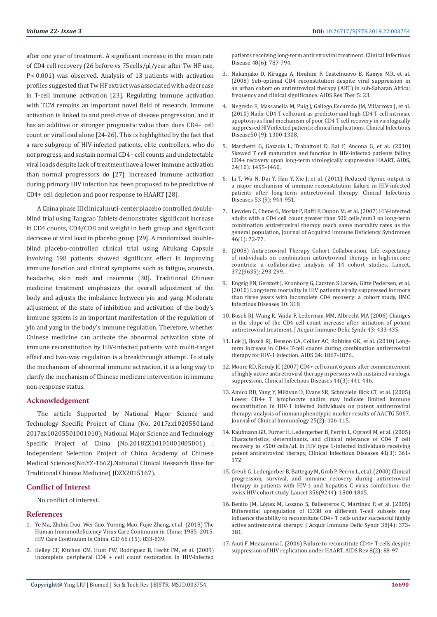after one year of treatment. A significant increase in the mean rate of CD4 cell recovery (26 before vs 75 cells/μl/year after Tw HF use, P < 0.001) was observed. Analysis of 13 patients with activation profiles suggested that Tw HF extract was associated with a decrease in T-cell immune activation [23]. Regulating immune activation with TCM remains an important novel field of research. Immune activation is linked to and predictive of disease progression, and it has an additive or stronger prognostic value than does CD4+ cell count or viral load alone [24-26]. This is highlighted by the fact that a rare subgroup of HIV-infected patients, elite controllers, who do not progress, and sustain normal CD4+ cell counts and undetectable viral loads despite lack of treatment have a lower immune activation than normal progressors do [27]. Increased immune activation during primary HIV infection has been proposed to be predictive of CD4+ cell depletion and poor response to HAART [28].

A China phase III clinical muti-center placebo controlled doubleblind trial using Tangcao Tablets demonstrates significant increase in CD4 counts, CD4/CD8 and weight in herb group and significant decrease of viral load in placebo group [29]. A randomized doubleblind placebo-controlled clinical trial using Aifukang Capsule involving 198 patients showed significant effect in improving immune function and clinical symptoms such as fatigue, anorexia, headache, skin rash and insomnia [30]. Traditional Chinese medicine treatment emphasizes the overall adjustment of the body and adjusts the imbalance between yin and yang. Moderate adjustment of the state of inhibition and activation of the body's immune system is an important manifestation of the regulation of yin and yang in the body's immune regulation. Therefore, whether Chinese medicine can activate the abnormal activation state of immune reconstitution by HIV-infected patients with multi-target effect and two-way regulation is a breakthrough attempt. To study the mechanism of abnormal immune activation, it is a long way to clarify the mechanism of Chinese medicine intervention in immune non-response status.

# **Acknowledgement**

The article Supported by National Major Science and Technology Specific Project of China (No. 2017zx10205501and 2017zx10205501001010); National Major Science and Technology Specific Project of China (No.2018ZX10101001005001) ; Independent Selection Project of China Academy of Chinese Medical Sciences(No.YZ-1662).National Clinical Research Base for Traditional Chinese Medicine( JDZX2015167).

#### **Conflict of Interest**

No conflict of interest.

#### **References**

- 1. [Ye Ma, Zhihui Dou, Wei Guo, Yurong Mao, Fujie Zhang, et al. \(2018\) The](https://academic.oup.com/cid/article/66/6/833/4693542)  [Human Immunodeficiency Virus Care Continuum in China: 1985–2015,](https://academic.oup.com/cid/article/66/6/833/4693542)  [HIV Care Continuum in China. CID 66 \(15\): 833-839.](https://academic.oup.com/cid/article/66/6/833/4693542)
- 2. [Kelley CF, Kitchen CM, Hunt PW, Rodriguez B, Hecht FM, et al. \(2009\)](https://www.ncbi.nlm.nih.gov/pubmed/19193107)  [Incomplete peripheral CD4 + cell count restoration in HIV-infected](https://www.ncbi.nlm.nih.gov/pubmed/19193107)

[patients receiving long-term antiretroviral treatment. Clinical Infectious](https://www.ncbi.nlm.nih.gov/pubmed/19193107) [Disease 48\(6\): 787-794.](https://www.ncbi.nlm.nih.gov/pubmed/19193107)

- 3. [Nakanjako D, Kiragga A, Ibrahim F, Castelnuovo B, Kamya MR, et al.](https://www.ncbi.nlm.nih.gov/pubmed/18957083) [\(2008\) Sub-optimal CD4 reconstitution despite viral suppression in](https://www.ncbi.nlm.nih.gov/pubmed/18957083) [an urban cohort on antiretroviral therapy \(ART\) in sub-Saharan Africa:](https://www.ncbi.nlm.nih.gov/pubmed/18957083) [frequency and clinical significance. AIDS Res Ther 5: 23.](https://www.ncbi.nlm.nih.gov/pubmed/18957083)
- 4. [Negredo E, Massanella M, Puig J, Gallego Escuredo JM, Villarroya J, et al.](https://www.ncbi.nlm.nih.gov/pubmed/20367229) [\(2010\) Nadir CD4 T cellcount as predictor and high CD4 T cell intrinsic](https://www.ncbi.nlm.nih.gov/pubmed/20367229) [apoptosis as final mechanism of poor CD4 T cell recovery in virologically](https://www.ncbi.nlm.nih.gov/pubmed/20367229) [suppressed HIVinfected patients: clinical implications. Clinical Infectious](https://www.ncbi.nlm.nih.gov/pubmed/20367229) [Disease50 \(9\): 1300-1308.](https://www.ncbi.nlm.nih.gov/pubmed/20367229)
- 5. [Marchetti G, Gazzola L, Trabattoni D, Bai F, Ancona G, et al. \(2010\)](https://europepmc.org/abstract/med/20539090) [Skewed T cell maturation and function in HIV-infected patients failing](https://europepmc.org/abstract/med/20539090) [CD4+ recovery upon long-term virologically suppressive HAART, AIDS,](https://europepmc.org/abstract/med/20539090) [24\(10\): 1455-1460.](https://europepmc.org/abstract/med/20539090)
- 6. [Li T, Wu N, Dai Y, Han Y, Xie J, et al. \(2011\) Reduced thymic output is](https://www.ncbi.nlm.nih.gov/pubmed/21960716) [a major mechanism of immune reconstitution failure in HIV-infected](https://www.ncbi.nlm.nih.gov/pubmed/21960716) [patients after long-term antiretroviral therapy. Clinical Infectious](https://www.ncbi.nlm.nih.gov/pubmed/21960716) [Diseases 53 \(9\): 944-951.](https://www.ncbi.nlm.nih.gov/pubmed/21960716)
- 7. [Lewden C, Chene G, Morlat P, Raffi F, Dupon M, et al. \(2007\) HIV-infected](file:///C:\Users\Biomedres\Desktop\BJSTR-SPT-19-CR-191_SI\Lewden%20C,%20Chˆene%20G,%20Morlat%20P,%20et%20al.%20(2007)%20HIV-infected%20adults%20with%20a%20CD4%20cell%20count%20greater%20than%20500%20cells\mm3%20on%20long-term%20combination%20antiretroviral%20therapy%20reach%20same%20mortality%20rates%20as%20the%20general%20population,%20Journal%20of%20Acquired%20Immune%20Deficiency%20Syndromes%2046(1):%2072-77.) [adults with a CD4 cell count greater than 500 cells/mm3 on long-term](file:///C:\Users\Biomedres\Desktop\BJSTR-SPT-19-CR-191_SI\Lewden%20C,%20Chˆene%20G,%20Morlat%20P,%20et%20al.%20(2007)%20HIV-infected%20adults%20with%20a%20CD4%20cell%20count%20greater%20than%20500%20cells\mm3%20on%20long-term%20combination%20antiretroviral%20therapy%20reach%20same%20mortality%20rates%20as%20the%20general%20population,%20Journal%20of%20Acquired%20Immune%20Deficiency%20Syndromes%2046(1):%2072-77.) [combination antiretroviral therapy reach same mortality rates as the](file:///C:\Users\Biomedres\Desktop\BJSTR-SPT-19-CR-191_SI\Lewden%20C,%20Chˆene%20G,%20Morlat%20P,%20et%20al.%20(2007)%20HIV-infected%20adults%20with%20a%20CD4%20cell%20count%20greater%20than%20500%20cells\mm3%20on%20long-term%20combination%20antiretroviral%20therapy%20reach%20same%20mortality%20rates%20as%20the%20general%20population,%20Journal%20of%20Acquired%20Immune%20Deficiency%20Syndromes%2046(1):%2072-77.) [general population, Journal of Acquired Immune Deficiency Syndromes](file:///C:\Users\Biomedres\Desktop\BJSTR-SPT-19-CR-191_SI\Lewden%20C,%20Chˆene%20G,%20Morlat%20P,%20et%20al.%20(2007)%20HIV-infected%20adults%20with%20a%20CD4%20cell%20count%20greater%20than%20500%20cells\mm3%20on%20long-term%20combination%20antiretroviral%20therapy%20reach%20same%20mortality%20rates%20as%20the%20general%20population,%20Journal%20of%20Acquired%20Immune%20Deficiency%20Syndromes%2046(1):%2072-77.) [46\(1\): 72-77.](file:///C:\Users\Biomedres\Desktop\BJSTR-SPT-19-CR-191_SI\Lewden%20C,%20Chˆene%20G,%20Morlat%20P,%20et%20al.%20(2007)%20HIV-infected%20adults%20with%20a%20CD4%20cell%20count%20greater%20than%20500%20cells\mm3%20on%20long-term%20combination%20antiretroviral%20therapy%20reach%20same%20mortality%20rates%20as%20the%20general%20population,%20Journal%20of%20Acquired%20Immune%20Deficiency%20Syndromes%2046(1):%2072-77.)
- 8. [\(2008\) Antiretroviral Therapy Cohort Collaboration, Life expectancy](file:///C:\Users\Biomedres\Desktop\BJSTR-SPT-19-CR-191_SI\(2008)%20Antiretroviral%20Therapy%20Cohort%20Collaboration.%20Life%20expectancy%20of%20individuals%20on%20combination%20antiretroviral%20therapy%20in%20high-income%20countries:%20a%20collaborative%20analysis%20of%2014%20cohort%20studies,%20Lancet,%20372(9635):%20293-299.) [of individuals on combination antiretroviral therapy in high-income](file:///C:\Users\Biomedres\Desktop\BJSTR-SPT-19-CR-191_SI\(2008)%20Antiretroviral%20Therapy%20Cohort%20Collaboration.%20Life%20expectancy%20of%20individuals%20on%20combination%20antiretroviral%20therapy%20in%20high-income%20countries:%20a%20collaborative%20analysis%20of%2014%20cohort%20studies,%20Lancet,%20372(9635):%20293-299.) [countries: a collaborative analysis of 14 cohort studies, Lancet,](file:///C:\Users\Biomedres\Desktop\BJSTR-SPT-19-CR-191_SI\(2008)%20Antiretroviral%20Therapy%20Cohort%20Collaboration.%20Life%20expectancy%20of%20individuals%20on%20combination%20antiretroviral%20therapy%20in%20high-income%20countries:%20a%20collaborative%20analysis%20of%2014%20cohort%20studies,%20Lancet,%20372(9635):%20293-299.) [372\(9635\): 293-299.](file:///C:\Users\Biomedres\Desktop\BJSTR-SPT-19-CR-191_SI\(2008)%20Antiretroviral%20Therapy%20Cohort%20Collaboration.%20Life%20expectancy%20of%20individuals%20on%20combination%20antiretroviral%20therapy%20in%20high-income%20countries:%20a%20collaborative%20analysis%20of%2014%20cohort%20studies,%20Lancet,%20372(9635):%20293-299.)
- 9. [Engsig FN, Gerstoft J, Kronborg G, Carsten S Larsen, Gitte Pedersen, et al.](https://bmcinfectdis.biomedcentral.com/articles/10.1186/1471-2334-10-318) [\(2010\) Long-term mortality in HIV patients virally suppressed for more](https://bmcinfectdis.biomedcentral.com/articles/10.1186/1471-2334-10-318) [than three years with incomplete CD4 recovery: a cohort study, BMC](https://bmcinfectdis.biomedcentral.com/articles/10.1186/1471-2334-10-318) [Infectious Diseases 10: 318.](https://bmcinfectdis.biomedcentral.com/articles/10.1186/1471-2334-10-318)
- 10. [Bosch RJ, Wang R, Vaida F, Lederman MM, Albrecht MA \(2006\) Changes](https://www.ncbi.nlm.nih.gov/pubmed/17183628) [in the slope of the CD4 cell count increase after initiation of potent](https://www.ncbi.nlm.nih.gov/pubmed/17183628) [antiretroviral treatment. J Acquir Immune Defic Syndr 43: 433-435.](https://www.ncbi.nlm.nih.gov/pubmed/17183628)
- 11. [Lok JJ, Bosch RJ, Benson CA, Collier AC, Robbins GK, et al. \(2010\) Long](https://www.ncbi.nlm.nih.gov/pubmed/20467286)[term increase in CD4+ T-cell counts during combination antiretroviral](https://www.ncbi.nlm.nih.gov/pubmed/20467286) [therapy for HIV-1 infection. AIDS 24: 1867-1876.](https://www.ncbi.nlm.nih.gov/pubmed/20467286)
- 12. [Moore RD, Keruly JC \(2007\) CD4+ cell count 6 years after commencement](https://academic.oup.com/cid/article/44/3/441/314916) [of highly active antiretroviral therapy in persons with sustained virologic](https://academic.oup.com/cid/article/44/3/441/314916) [suppression, Clinical Infectious Diseases 44\(3\): 441-446.](https://academic.oup.com/cid/article/44/3/441/314916)
- 13. [Amico RD, Yang Y, Mildvan D, Evans SR, Schnizlein Bick CT, et al. \(2005\)](https://www.ncbi.nlm.nih.gov/pubmed/15821887) [Lower CD4+ T lymphocyte nadirs may indicate limited immune](https://www.ncbi.nlm.nih.gov/pubmed/15821887) [reconstitution in HIV-1 infected individuals on potent antiretroviral](https://www.ncbi.nlm.nih.gov/pubmed/15821887) [therapy: analysis of immunophenotypic marker results of AACTG 5067.](https://www.ncbi.nlm.nih.gov/pubmed/15821887) [Journal of Clinical Immunology 25\(2\): 106-115.](https://www.ncbi.nlm.nih.gov/pubmed/15821887)
- 14. [Kaufmann GR, Furrer H, Ledergerber B, Perrin L, Opravil M, et al. \(2005\)](https://www.ncbi.nlm.nih.gov/pubmed/16007534) [Characteristics, determinants, and clinical relevance of CD4 T cell](https://www.ncbi.nlm.nih.gov/pubmed/16007534) [recovery to <500 cells/μL in HIV type 1-infected individuals receiving](https://www.ncbi.nlm.nih.gov/pubmed/16007534) [potent antiretroviral therapy, Clinical Infectious Diseases 41\(3\): 361-](https://www.ncbi.nlm.nih.gov/pubmed/16007534) [372](https://www.ncbi.nlm.nih.gov/pubmed/16007534)
- 15. [Greub G, Ledergerber B, Battegay M, Grob P, Perrin L, et al. \(2000\) Clinical](file:///C:\Users\Biomedres\Desktop\BJSTR-SPT-19-CR-191_SI\Greub%20G,%20Ledergerber%20B%20,%20Battegay%20M,%20et%20al.%20%20(2000)%20Clinical%20progression,%20survival,%20and%20immune%20recovery%20during%20antiretroviral%20therapy%20in%20patients%20with%20HIV-1%20and%20hepatitis%20C%20virus%20coinfection:%20the%20swiss%20HIV%20cohort%20study.%20Lancet%20356(9244):%201800-1805.) [progression, survival, and immune recovery during antiretroviral](file:///C:\Users\Biomedres\Desktop\BJSTR-SPT-19-CR-191_SI\Greub%20G,%20Ledergerber%20B%20,%20Battegay%20M,%20et%20al.%20%20(2000)%20Clinical%20progression,%20survival,%20and%20immune%20recovery%20during%20antiretroviral%20therapy%20in%20patients%20with%20HIV-1%20and%20hepatitis%20C%20virus%20coinfection:%20the%20swiss%20HIV%20cohort%20study.%20Lancet%20356(9244):%201800-1805.) [therapy in patients with HIV-1 and hepatitis C virus coinfection: the](file:///C:\Users\Biomedres\Desktop\BJSTR-SPT-19-CR-191_SI\Greub%20G,%20Ledergerber%20B%20,%20Battegay%20M,%20et%20al.%20%20(2000)%20Clinical%20progression,%20survival,%20and%20immune%20recovery%20during%20antiretroviral%20therapy%20in%20patients%20with%20HIV-1%20and%20hepatitis%20C%20virus%20coinfection:%20the%20swiss%20HIV%20cohort%20study.%20Lancet%20356(9244):%201800-1805.) [swiss HIV cohort study. Lancet 356\(9244\): 1800-1805.](file:///C:\Users\Biomedres\Desktop\BJSTR-SPT-19-CR-191_SI\Greub%20G,%20Ledergerber%20B%20,%20Battegay%20M,%20et%20al.%20%20(2000)%20Clinical%20progression,%20survival,%20and%20immune%20recovery%20during%20antiretroviral%20therapy%20in%20patients%20with%20HIV-1%20and%20hepatitis%20C%20virus%20coinfection:%20the%20swiss%20HIV%20cohort%20study.%20Lancet%20356(9244):%201800-1805.)
- 16. [Benito JM, López M, Lozano S, Ballesteros C, Martinez P, et al. \(2005\)](https://www.ncbi.nlm.nih.gov/pubmed/15764953) [Differential upregulation of CD38 on different T-cell subsets may](https://www.ncbi.nlm.nih.gov/pubmed/15764953) [influence the ability to reconstitute CD4+ T cells under successful highly](https://www.ncbi.nlm.nih.gov/pubmed/15764953) [active antiretroviral therapy. J Acquir Immune Defic Syndr 38\(4\): 373-](https://www.ncbi.nlm.nih.gov/pubmed/15764953) [381.](https://www.ncbi.nlm.nih.gov/pubmed/15764953)
- 17. [Aiuti F, Mezzaroma L \(2006\) Failure to reconstitute CD4+ T-cells despite](https://www.ncbi.nlm.nih.gov/pubmed/16848276) [suppression of HIV replication under HAART. AIDS Rev 8\(2\): 88-97.](https://www.ncbi.nlm.nih.gov/pubmed/16848276)